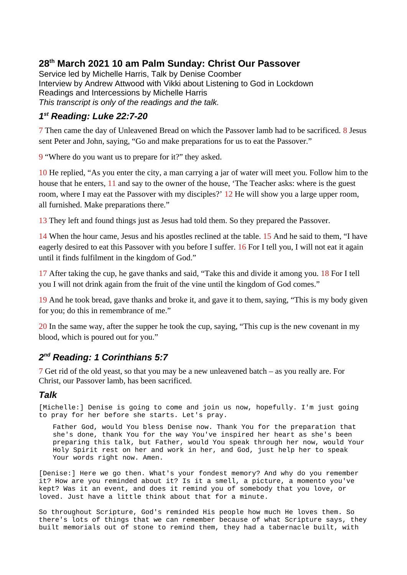## **28th March 2021 10 am Palm Sunday: Christ Our Passover**

Service led by Michelle Harris, Talk by Denise Coomber Interview by Andrew Attwood with Vikki about Listening to God in Lockdown Readings and Intercessions by Michelle Harris *This transcript is only of the readings and the talk.*

## *1 st Reading: Luke 22:7-20*

7 Then came the day of Unleavened Bread on which the Passover lamb had to be sacrificed. 8 Jesus sent Peter and John, saying, "Go and make preparations for us to eat the Passover."

9 "Where do you want us to prepare for it?" they asked.

10 He replied, "As you enter the city, a man carrying a jar of water will meet you. Follow him to the house that he enters, 11 and say to the owner of the house, 'The Teacher asks: where is the guest room, where I may eat the Passover with my disciples?' 12 He will show you a large upper room, all furnished. Make preparations there."

13 They left and found things just as Jesus had told them. So they prepared the Passover.

14 When the hour came, Jesus and his apostles reclined at the table. 15 And he said to them, "I have eagerly desired to eat this Passover with you before I suffer. 16 For I tell you, I will not eat it again until it finds fulfilment in the kingdom of God."

17 After taking the cup, he gave thanks and said, "Take this and divide it among you. 18 For I tell you I will not drink again from the fruit of the vine until the kingdom of God comes."

19 And he took bread, gave thanks and broke it, and gave it to them, saying, "This is my body given for you; do this in remembrance of me."

20 In the same way, after the supper he took the cup, saying, "This cup is the new covenant in my blood, which is poured out for you."

## *2 nd Reading: 1 Corinthians 5:7*

7 Get rid of the old yeast, so that you may be a new unleavened batch – as you really are. For Christ, our Passover lamb, has been sacrificed.

## *Talk*

[Michelle:] Denise is going to come and join us now, hopefully. I'm just going to pray for her before she starts. Let's pray.

Father God, would You bless Denise now. Thank You for the preparation that she's done, thank You for the way You've inspired her heart as she's been preparing this talk, but Father, would You speak through her now, would Your Holy Spirit rest on her and work in her, and God, just help her to speak Your words right now. Amen.

[Denise:] Here we go then. What's your fondest memory? And why do you remember it? How are you reminded about it? Is it a smell, a picture, a momento you've kept? Was it an event, and does it remind you of somebody that you love, or loved. Just have a little think about that for a minute.

So throughout Scripture, God's reminded His people how much He loves them. So there's lots of things that we can remember because of what Scripture says, they built memorials out of stone to remind them, they had a tabernacle built, with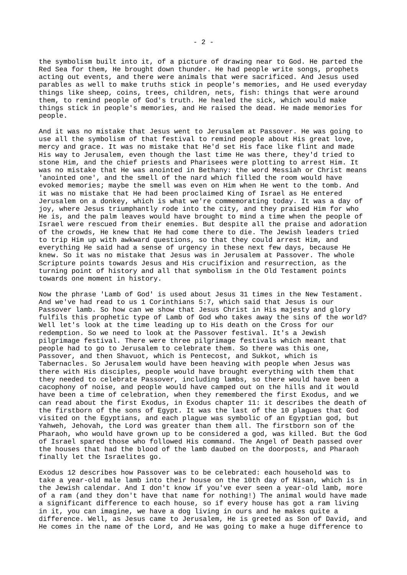the symbolism built into it, of a picture of drawing near to God. He parted the Red Sea for them, He brought down thunder. He had people write songs, prophets acting out events, and there were animals that were sacrificed. And Jesus used parables as well to make truths stick in people's memories, and He used everyday things like sheep, coins, trees, children, nets, fish: things that were around them, to remind people of God's truth. He healed the sick, which would make things stick in people's memories, and He raised the dead. He made memories for people.

And it was no mistake that Jesus went to Jerusalem at Passover. He was going to use all the symbolism of that festival to remind people about His great love, mercy and grace. It was no mistake that He'd set His face like flint and made His way to Jerusalem, even though the last time He was there, they'd tried to stone Him, and the chief priests and Pharisees were plotting to arrest Him. It was no mistake that He was anointed in Bethany: the word Messiah or Christ means 'anointed one', and the smell of the nard which filled the room would have evoked memories; maybe the smell was even on Him when He went to the tomb. And it was no mistake that He had been proclaimed King of Israel as He entered Jerusalem on a donkey, which is what we're commemorating today. It was a day of joy, where Jesus triumphantly rode into the city, and they praised Him for who He is, and the palm leaves would have brought to mind a time when the people of Israel were rescued from their enemies. But despite all the praise and adoration of the crowds, He knew that He had come there to die. The Jewish leaders tried to trip Him up with awkward questions, so that they could arrest Him, and everything He said had a sense of urgency in these next few days, because He knew. So it was no mistake that Jesus was in Jerusalem at Passover. The whole Scripture points towards Jesus and His crucifixion and resurrection, as the turning point of history and all that symbolism in the Old Testament points towards one moment in history.

Now the phrase 'Lamb of God' is used about Jesus 31 times in the New Testament. And we've had read to us 1 Corinthians 5:7, which said that Jesus is our Passover lamb. So how can we show that Jesus Christ in His majesty and glory fulfils this prophetic type of Lamb of God who takes away the sins of the world? Well let's look at the time leading up to His death on the Cross for our redemption. So we need to look at the Passover festival. It's a Jewish pilgrimage festival. There were three pilgrimage festivals which meant that people had to go to Jerusalem to celebrate them. So there was this one, Passover, and then Shavuot, which is Pentecost, and Sukkot, which is Tabernacles. So Jerusalem would have been heaving with people when Jesus was there with His disciples, people would have brought everything with them that they needed to celebrate Passover, including lambs, so there would have been a cacophony of noise, and people would have camped out on the hills and it would have been a time of celebration, when they remembered the first Exodus, and we can read about the first Exodus, in Exodus chapter 11: it describes the death of the firstborn of the sons of Egypt. It was the last of the 10 plagues that God visited on the Egyptians, and each plague was symbolic of an Egyptian god, but Yahweh, Jehovah, the Lord was greater than them all. The firstborn son of the Pharaoh, who would have grown up to be considered a god, was killed. But the God of Israel spared those who followed His command. The Angel of Death passed over the houses that had the blood of the lamb daubed on the doorposts, and Pharaoh finally let the Israelites go.

Exodus 12 describes how Passover was to be celebrated: each household was to take a year-old male lamb into their house on the 10th day of Nisan, which is in the Jewish calendar. And I don't know if you've ever seen a year-old lamb, more of a ram (and they don't have that name for nothing!) The animal would have made a significant difference to each house, so if every house has got a ram living in it, you can imagine, we have a dog living in ours and he makes quite a difference. Well, as Jesus came to Jerusalem, He is greeted as Son of David, and He comes in the name of the Lord, and He was going to make a huge difference to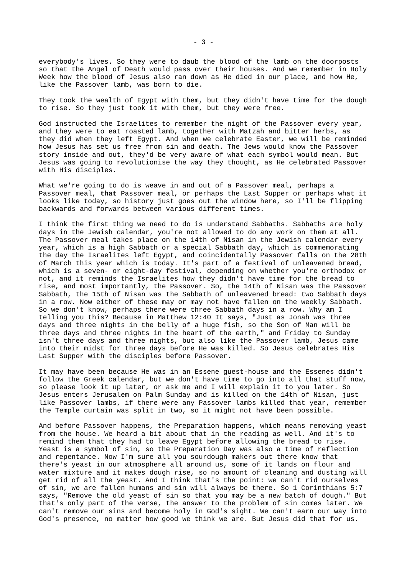everybody's lives. So they were to daub the blood of the lamb on the doorposts so that the Angel of Death would pass over their houses. And we remember in Holy Week how the blood of Jesus also ran down as He died in our place, and how He, like the Passover lamb, was born to die.

They took the wealth of Egypt with them, but they didn't have time for the dough to rise. So they just took it with them, but they were free.

God instructed the Israelites to remember the night of the Passover every year, and they were to eat roasted lamb, together with Matzah and bitter herbs, as they did when they left Egypt. And when we celebrate Easter, we will be reminded how Jesus has set us free from sin and death. The Jews would know the Passover story inside and out, they'd be very aware of what each symbol would mean. But Jesus was going to revolutionise the way they thought, as He celebrated Passover with His disciples.

What we're going to do is weave in and out of a Passover meal, perhaps a Passover meal, **that** Passover meal, or perhaps the Last Supper or perhaps what it looks like today, so history just goes out the window here, so I'll be flipping backwards and forwards between various different times.

I think the first thing we need to do is understand Sabbaths. Sabbaths are holy days in the Jewish calendar, you're not allowed to do any work on them at all. The Passover meal takes place on the 14th of Nisan in the Jewish calendar every year, which is a high Sabbath or a special Sabbath day, which is commemorating the day the Israelites left Egypt, and coincidentally Passover falls on the 28th of March this year which is today. It's part of a festival of unleavened bread, which is a seven- or eight-day festival, depending on whether you're orthodox or not, and it reminds the Israelites how they didn't have time for the bread to rise, and most importantly, the Passover. So, the 14th of Nisan was the Passover Sabbath, the 15th of Nisan was the Sabbath of unleavened bread: two Sabbath days in a row. Now either of these may or may not have fallen on the weekly Sabbath. So we don't know, perhaps there were three Sabbath days in a row. Why am I telling you this? Because in Matthew 12:40 It says, "Just as Jonah was three days and three nights in the belly of a huge fish, so the Son of Man will be three days and three nights in the heart of the earth," and Friday to Sunday isn't three days and three nights, but also like the Passover lamb, Jesus came into their midst for three days before He was killed. So Jesus celebrates His Last Supper with the disciples before Passover.

It may have been because He was in an Essene guest-house and the Essenes didn't follow the Greek calendar, but we don't have time to go into all that stuff now, so please look it up later, or ask me and I will explain it to you later. So Jesus enters Jerusalem on Palm Sunday and is killed on the 14th of Nisan, just like Passover lambs, if there were any Passover lambs killed that year, remember the Temple curtain was split in two, so it might not have been possible.

And before Passover happens, the Preparation happens, which means removing yeast from the house. We heard a bit about that in the reading as well. And it's to remind them that they had to leave Egypt before allowing the bread to rise. Yeast is a symbol of sin, so the Preparation Day was also a time of reflection and repentance. Now I'm sure all you sourdough makers out there know that there's yeast in our atmosphere all around us, some of it lands on flour and water mixture and it makes dough rise, so no amount of cleaning and dusting will get rid of all the yeast. And I think that's the point: we can't rid ourselves of sin, we are fallen humans and sin will always be there. So 1 Corinthians 5:7 says, "Remove the old yeast of sin so that you may be a new batch of dough." But that's only part of the verse, the answer to the problem of sin comes later. We can't remove our sins and become holy in God's sight. We can't earn our way into God's presence, no matter how good we think we are. But Jesus did that for us.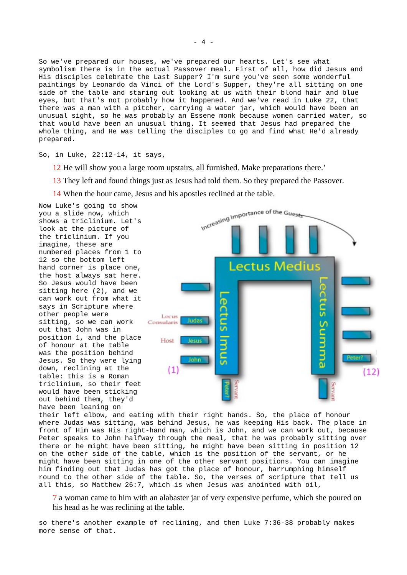So we've prepared our houses, we've prepared our hearts. Let's see what symbolism there is in the actual Passover meal. First of all, how did Jesus and His disciples celebrate the Last Supper? I'm sure you've seen some wonderful paintings by Leonardo da Vinci of the Lord's Supper, they're all sitting on one side of the table and staring out looking at us with their blond hair and blue eyes, but that's not probably how it happened. And we've read in Luke 22, that there was a man with a pitcher, carrying a water jar, which would have been an unusual sight, so he was probably an Essene monk because women carried water, so that would have been an unusual thing. It seemed that Jesus had prepared the whole thing, and He was telling the disciples to go and find what He'd already prepared.

So, in Luke, 22:12-14, it says,

12 He will show you a large room upstairs, all furnished. Make preparations there.'

13 They left and found things just as Jesus had told them. So they prepared the Passover.

14 When the hour came, Jesus and his apostles reclined at the table.

Now Luke's going to show you a slide now, which shows a triclinium. Let's look at the picture of the triclinium. If you imagine, these are numbered places from 1 to 12 so the bottom left hand corner is place one, the host always sat here. So Jesus would have been sitting here (2), and we can work out from what it says in Scripture where other people were sitting, so we can work out that John was in position 1, and the place of honour at the table was the position behind Jesus. So they were lying down, reclining at the table: this is a Roman triclinium, so their feet would have been sticking out behind them, they'd have been leaning on



their left elbow, and eating with their right hands. So, the place of honour where Judas was sitting, was behind Jesus, he was keeping His back. The place in front of Him was His right-hand man, which is John, and we can work out, because Peter speaks to John halfway through the meal, that he was probably sitting over there or he might have been sitting, he might have been sitting in position 12 on the other side of the table, which is the position of the servant, or he might have been sitting in one of the other servant positions. You can imagine him finding out that Judas has got the place of honour, harrumphing himself round to the other side of the table. So, the verses of scripture that tell us all this, so Matthew 26:7, which is when Jesus was anointed with oil,

7 a woman came to him with an alabaster jar of very expensive perfume, which she poured on his head as he was reclining at the table.

so there's another example of reclining, and then Luke 7:36-38 probably makes more sense of that.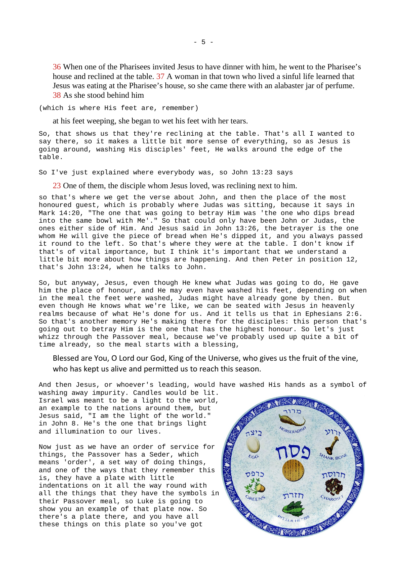36 When one of the Pharisees invited Jesus to have dinner with him, he went to the Pharisee's house and reclined at the table. 37 A woman in that town who lived a sinful life learned that Jesus was eating at the Pharisee's house, so she came there with an alabaster jar of perfume. 38 As she stood behind him

(which is where His feet are, remember)

at his feet weeping, she began to wet his feet with her tears.

So, that shows us that they're reclining at the table. That's all I wanted to say there, so it makes a little bit more sense of everything, so as Jesus is going around, washing His disciples' feet, He walks around the edge of the table.

So I've just explained where everybody was, so John 13:23 says

23 One of them, the disciple whom Jesus loved, was reclining next to him.

so that's where we get the verse about John, and then the place of the most honoured guest, which is probably where Judas was sitting, because it says in Mark 14:20, "The one that was going to betray Him was 'the one who dips bread into the same bowl with Me'." So that could only have been John or Judas, the ones either side of Him. And Jesus said in John 13:26, the betrayer is the one whom He will give the piece of bread when He's dipped it, and you always passed it round to the left. So that's where they were at the table. I don't know if that's of vital importance, but I think it's important that we understand a little bit more about how things are happening. And then Peter in position 12, that's John 13:24, when he talks to John.

So, but anyway, Jesus, even though He knew what Judas was going to do, He gave him the place of honour, and He may even have washed his feet, depending on when in the meal the feet were washed, Judas might have already gone by then. But even though He knows what we're like, we can be seated with Jesus in heavenly realms because of what He's done for us. And it tells us that in Ephesians 2:6. So that's another memory He's making there for the disciples: this person that's going out to betray Him is the one that has the highest honour. So let's just whizz through the Passover meal, because we've probably used up quite a bit of time already, so the meal starts with a blessing,

Blessed are You, O Lord our God, King of the Universe, who gives us the fruit of the vine, who has kept us alive and permitted us to reach this season.

And then Jesus, or whoever's leading, would have washed His hands as a symbol of washing away impurity. Candles would be lit.

Israel was meant to be a light to the world, an example to the nations around them, but Jesus said, "I am the light of the world." in John 8. He's the one that brings light and illumination to our lives.

Now just as we have an order of service for things, the Passover has a Seder, which means 'order', a set way of doing things, and one of the ways that they remember this is, they have a plate with little indentations on it all the way round with all the things that they have the symbols in their Passover meal, so Luke is going to show you an example of that plate now. So there's a plate there, and you have all these things on this plate so you've got

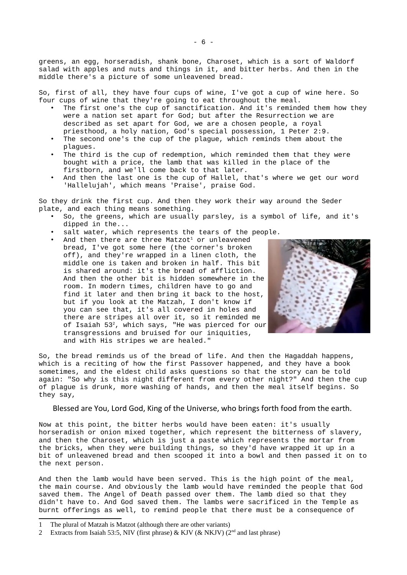greens, an egg, horseradish, shank bone, Charoset, which is a sort of Waldorf salad with apples and nuts and things in it, and bitter herbs. And then in the middle there's a picture of some unleavened bread.

So, first of all, they have four cups of wine, I've got a cup of wine here. So four cups of wine that they're going to eat throughout the meal.

- The first one's the cup of sanctification. And it's reminded them how they were a nation set apart for God; but after the Resurrection we are described as set apart for God, we are a chosen people, a royal priesthood, a holy nation, God's special possession, 1 Peter 2:9.
- The second one's the cup of the plague, which reminds them about the plagues.
- The third is the cup of redemption, which reminded them that they were bought with a price, the lamb that was killed in the place of the firstborn, and we'll come back to that later.
- And then the last one is the cup of Hallel, that's where we get our word 'Hallelujah', which means 'Praise', praise God.

So they drink the first cup. And then they work their way around the Seder plate, and each thing means something.

- So, the greens, which are usually parsley, is a symbol of life, and it's dipped in the...
- salt water, which represents the tears of the people.
- And then there are three Matzot<sup>[1](#page-5-0)</sup> or unleavened bread, I've got some here (the corner's broken off), and they're wrapped in a linen cloth, the middle one is taken and broken in half. This bit is shared around: it's the bread of affliction. And then the other bit is hidden somewhere in the room. In modern times, children have to go and find it later and then bring it back to the host, but if you look at the Matzah, I don't know if you can see that, it's all covered in holes and there are stripes all over it, so it reminded me of Isaiah 53[2](#page-5-1), which says, "He was pierced for our transgressions and bruised for our iniquities, and with His stripes we are healed."



So, the bread reminds us of the bread of life. And then the Hagaddah happens, which is a reciting of how the first Passover happened, and they have a book sometimes, and the eldest child asks questions so that the story can be told again: "So why is this night different from every other night?" And then the cup of plague is drunk, more washing of hands, and then the meal itself begins. So they say,

Blessed are You, Lord God, King of the Universe, who brings forth food from the earth.

Now at this point, the bitter herbs would have been eaten: it's usually horseradish or onion mixed together, which represent the bitterness of slavery, and then the Charoset, which is just a paste which represents the mortar from the bricks, when they were building things, so they'd have wrapped it up in a bit of unleavened bread and then scooped it into a bowl and then passed it on to the next person.

And then the lamb would have been served. This is the high point of the meal, the main course. And obviously the lamb would have reminded the people that God saved them. The Angel of Death passed over them. The lamb died so that they didn't have to. And God saved them. The lambs were sacrificed in the Temple as burnt offerings as well, to remind people that there must be a consequence of

<span id="page-5-0"></span><sup>1</sup> The plural of Matzah is Matzot (although there are other variants)

<span id="page-5-1"></span><sup>2</sup> Extracts from Isaiah 53:5, NIV (first phrase) & KJV (& NKJV) (2<sup>nd</sup> and last phrase)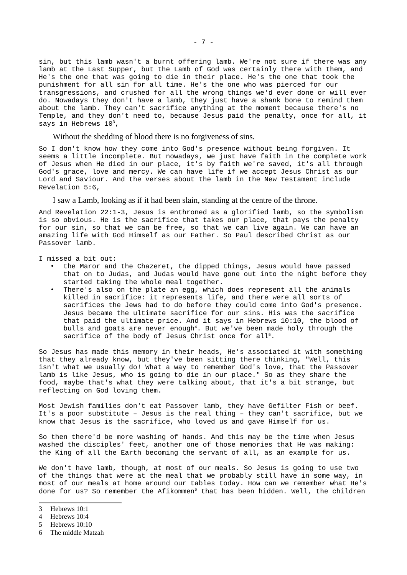sin, but this lamb wasn't a burnt offering lamb. We're not sure if there was any lamb at the Last Supper, but the Lamb of God was certainly there with them, and He's the one that was going to die in their place. He's the one that took the punishment for all sin for all time. He's the one who was pierced for our transgressions, and crushed for all the wrong things we'd ever done or will ever do. Nowadays they don't have a lamb, they just have a shank bone to remind them about the lamb. They can't sacrifice anything at the moment because there's no Temple, and they don't need to, because Jesus paid the penalty, once for all, it says in Hebrews  $10<sup>3</sup>$  $10<sup>3</sup>$  $10<sup>3</sup>$ ,

Without the shedding of blood there is no forgiveness of sins.

So I don't know how they come into God's presence without being forgiven. It seems a little incomplete. But nowadays, we just have faith in the complete work of Jesus when He died in our place, it's by faith we're saved, it's all through God's grace, love and mercy. We can have life if we accept Jesus Christ as our Lord and Saviour. And the verses about the lamb in the New Testament include Revelation 5:6,

I saw a Lamb, looking as if it had been slain, standing at the centre of the throne.

And Revelation 22:1-3, Jesus is enthroned as a glorified lamb, so the symbolism is so obvious. He is the sacrifice that takes our place, that pays the penalty for our sin, so that we can be free, so that we can live again. We can have an amazing life with God Himself as our Father. So Paul described Christ as our Passover lamb.

I missed a bit out:

- the Maror and the Chazeret, the dipped things, Jesus would have passed that on to Judas, and Judas would have gone out into the night before they started taking the whole meal together.
- There's also on the plate an egg, which does represent all the animals killed in sacrifice: it represents life, and there were all sorts of sacrifices the Jews had to do before they could come into God's presence. Jesus became the ultimate sacrifice for our sins. His was the sacrifice that paid the ultimate price. And it says in Hebrews 10:10, the blood of bulls and goats are never enough<sup>[4](#page-6-1)</sup>. But we've been made holy through the sacrifice of the body of Jesus Christ once for all<sup>[5](#page-6-2)</sup>.

So Jesus has made this memory in their heads, He's associated it with something that they already know, but they've been sitting there thinking, "Well, this isn't what we usually do! What a way to remember God's love, that the Passover lamb is like Jesus, who is going to die in our place." So as they share the food, maybe that's what they were talking about, that it's a bit strange, but reflecting on God loving them.

Most Jewish families don't eat Passover lamb, they have Gefilter Fish or beef. It's a poor substitute – Jesus is the real thing – they can't sacrifice, but we know that Jesus is the sacrifice, who loved us and gave Himself for us.

So then there'd be more washing of hands. And this may be the time when Jesus washed the disciples' feet, another one of those memories that He was making: the King of all the Earth becoming the servant of all, as an example for us.

We don't have lamb, though, at most of our meals. So Jesus is going to use two of the things that were at the meal that we probably still have in some way, in most of our meals at home around our tables today. How can we remember what He's done for us? So remember the Afikommen<sup>[6](#page-6-3)</sup> that has been hidden. Well, the children

<span id="page-6-0"></span><sup>3</sup> Hebrews 10:1

<span id="page-6-1"></span><sup>4</sup> Hebrews 10:4

<span id="page-6-2"></span><sup>5</sup> Hebrews 10:10

<span id="page-6-3"></span><sup>6</sup> The middle Matzah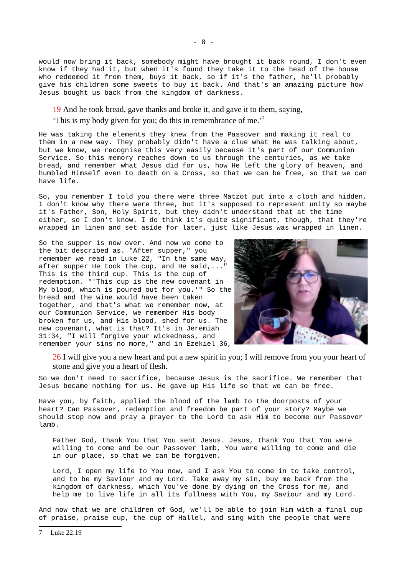would now bring it back, somebody might have brought it back round, I don't even know if they had it, but when it's found they take it to the head of the house who redeemed it from them, buys it back, so if it's the father, he'll probably give his children some sweets to buy it back. And that's an amazing picture how Jesus bought us back from the kingdom of darkness.

19 And he took bread, gave thanks and broke it, and gave it to them, saying,

'This is my body given for you; do this in remembrance of me.'[7](#page-7-0)

He was taking the elements they knew from the Passover and making it real to them in a new way. They probably didn't have a clue what He was talking about, but we know, we recognise this very easily because it's part of our Communion Service. So this memory reaches down to us through the centuries, as we take bread, and remember what Jesus did for us, how He left the glory of heaven, and humbled Himself even to death on a Cross, so that we can be free, so that we can have life.

So, you remember I told you there were three Matzot put into a cloth and hidden, I don't know why there were three, but it's supposed to represent unity so maybe it's Father, Son, Holy Spirit, but they didn't understand that at the time either, so I don't know. I do think it's quite significant, though, that they're wrapped in linen and set aside for later, just like Jesus was wrapped in linen.

So the supper is now over. And now we come to the bit described as. "After supper," you remember we read in Luke 22, "In the same way, after supper He took the cup, and He said,..." This is the third cup. This is the cup of redemption. "'This cup is the new covenant in My blood, which is poured out for you.'" So the bread and the wine would have been taken together, and that's what we remember now, at our Communion Service, we remember His body broken for us, and His blood, shed for us. The new covenant, what is that? It's in Jeremiah 31:34, "I will forgive your wickedness, and remember your sins no more," and in Ezekiel 36,



26 I will give you a new heart and put a new spirit in you; I will remove from you your heart of stone and give you a heart of flesh.

So we don't need to sacrifice, because Jesus is the sacrifice. We remember that Jesus became nothing for us. He gave up His life so that we can be free.

Have you, by faith, applied the blood of the lamb to the doorposts of your heart? Can Passover, redemption and freedom be part of your story? Maybe we should stop now and pray a prayer to the Lord to ask Him to become our Passover lamb.

Father God, thank You that You sent Jesus. Jesus, thank You that You were willing to come and be our Passover lamb, You were willing to come and die in our place, so that we can be forgiven.

Lord, I open my life to You now, and I ask You to come in to take control, and to be my Saviour and my Lord. Take away my sin, buy me back from the kingdom of darkness, which You've done by dying on the Cross for me, and help me to live life in all its fullness with You, my Saviour and my Lord.

<span id="page-7-0"></span>And now that we are children of God, we'll be able to join Him with a final cup of praise, praise cup, the cup of Hallel, and sing with the people that were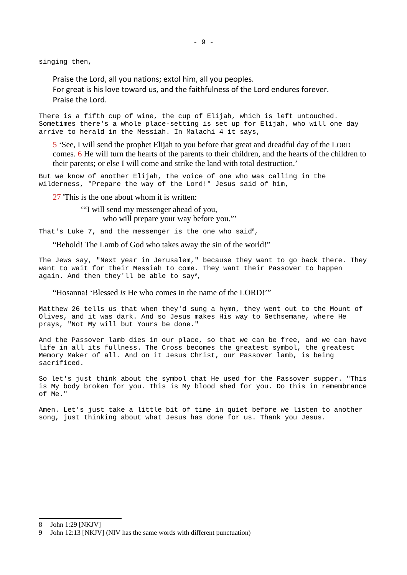singing then,

Praise the Lord, all you nations; extol him, all you peoples.

For great is his love toward us, and the faithfulness of the Lord endures forever.

Praise the Lord.

There is a fifth cup of wine, the cup of Elijah, which is left untouched. Sometimes there's a whole place-setting is set up for Elijah, who will one day arrive to herald in the Messiah. In Malachi 4 it says,

5 'See, I will send the prophet Elijah to you before that great and dreadful day of the LORD comes. 6 He will turn the hearts of the parents to their children, and the hearts of the children to their parents; or else I will come and strike the land with total destruction.'

But we know of another Elijah, the voice of one who was calling in the wilderness, "Prepare the way of the Lord!" Jesus said of him,

27 'This is the one about whom it is written:

'"I will send my messenger ahead of you, who will prepare your way before you."

That's Luke 7, and the messenger is the one who said<sup>[8](#page-8-0)</sup>,

"Behold! The Lamb of God who takes away the sin of the world!"

The Jews say, "Next year in Jerusalem," because they want to go back there. They want to wait for their Messiah to come. They want their Passover to happen again. And then they'll be able to say<sup>[9](#page-8-1)</sup>,

"Hosanna! 'Blessed *is* He who comes in the name of the LORD!'"

Matthew 26 tells us that when they'd sung a hymn, they went out to the Mount of Olives, and it was dark. And so Jesus makes His way to Gethsemane, where He prays, "Not My will but Yours be done."

And the Passover lamb dies in our place, so that we can be free, and we can have life in all its fullness. The Cross becomes the greatest symbol, the greatest Memory Maker of all. And on it Jesus Christ, our Passover lamb, is being sacrificed.

So let's just think about the symbol that He used for the Passover supper. "This is My body broken for you. This is My blood shed for you. Do this in remembrance of Me."

Amen. Let's just take a little bit of time in quiet before we listen to another song, just thinking about what Jesus has done for us. Thank you Jesus.

<span id="page-8-0"></span>8 John 1:29 [NKJV]

<span id="page-8-1"></span><sup>9</sup> John 12:13 [NKJV] (NIV has the same words with different punctuation)